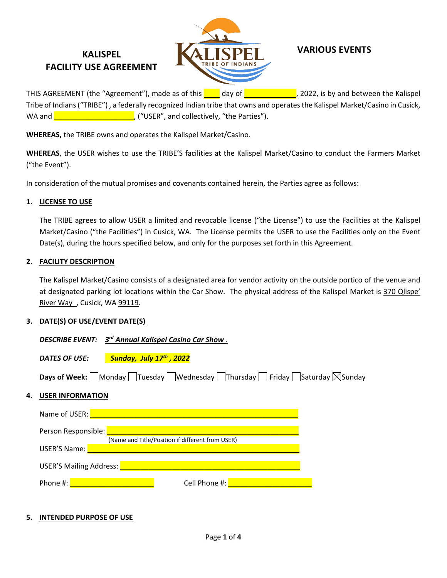# **FACILITY USE AGREEMENT**



THIS AGREEMENT (the "Agreement"), made as of this  $\Box$  day of  $\Box$  2022, is by and between the Kalispel Tribe of Indians ("TRIBE") , a federally recognized Indian tribe that owns and operates the Kalispel Market/Casino in Cusick, WA and  $\overline{a}$  and  $\overline{a}$  and  $\overline{b}$ , ("USER", and collectively, "the Parties").

**WHEREAS,** the TRIBE owns and operates the Kalispel Market/Casino.

**WHEREAS**, the USER wishes to use the TRIBE'S facilities at the Kalispel Market/Casino to conduct the Farmers Market ("the Event").

In consideration of the mutual promises and covenants contained herein, the Parties agree as follows:

# **1. LICENSE TO USE**

The TRIBE agrees to allow USER a limited and revocable license ("the License") to use the Facilities at the Kalispel Market/Casino ("the Facilities") in Cusick, WA. The License permits the USER to use the Facilities only on the Event Date(s), during the hours specified below, and only for the purposes set forth in this Agreement.

# **2. FACILITY DESCRIPTION**

The Kalispel Market/Casino consists of a designated area for vendor activity on the outside portico of the venue and at designated parking lot locations within the Car Show. The physical address of the Kalispel Market is 370 Qlispe' River Way, Cusick, WA 99119.

# **3. DATE(S) OF USE/EVENT DATE(S)**

*DESCRIBE EVENT: 3rd Annual Kalispel Casino Car Show .*

*DATES OF USE: Sunday, July 17th , 2022*

**Days of Week:** Monday Tuesday Wednesday Thursday T Friday Saturday  $\boxtimes$  Sunday

# **4. USER INFORMATION**

| Name of USER:                  |                                                  |
|--------------------------------|--------------------------------------------------|
| Person Responsible:            |                                                  |
|                                | (Name and Title/Position if different from USER) |
| <b>USER'S Name:</b>            |                                                  |
| <b>USER'S Mailing Address:</b> |                                                  |
| Phone #:                       | Cell Phone #:                                    |

### **5. INTENDED PURPOSE OF USE**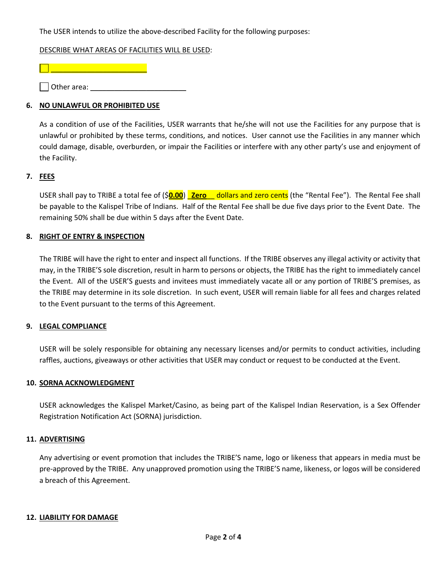The USER intends to utilize the above-described Facility for the following purposes:

#### DESCRIBE WHAT AREAS OF FACILITIES WILL BE USED:

Other area: \_\_\_\_\_\_\_\_\_\_\_\_\_\_\_\_\_\_\_\_\_\_\_\_

#### **6. NO UNLAWFUL OR PROHIBITED USE**

As a condition of use of the Facilities, USER warrants that he/she will not use the Facilities for any purpose that is unlawful or prohibited by these terms, conditions, and notices. User cannot use the Facilities in any manner which could damage, disable, overburden, or impair the Facilities or interfere with any other party's use and enjoyment of the Facility.

#### **7. FEES**

USER shall pay to TRIBE a total fee of (\$**0.00**) \_**Zero**\_\_ dollars and zero cents (the "Rental Fee"). The Rental Fee shall be payable to the Kalispel Tribe of Indians. Half of the Rental Fee shall be due five days prior to the Event Date. The remaining 50% shall be due within 5 days after the Event Date.

#### **8. RIGHT OF ENTRY & INSPECTION**

The TRIBE will have the right to enter and inspect all functions. If the TRIBE observes any illegal activity or activity that may, in the TRIBE'S sole discretion, result in harm to persons or objects, the TRIBE has the right to immediately cancel the Event. All of the USER'S guests and invitees must immediately vacate all or any portion of TRIBE'S premises, as the TRIBE may determine in its sole discretion. In such event, USER will remain liable for all fees and charges related to the Event pursuant to the terms of this Agreement.

#### **9. LEGAL COMPLIANCE**

USER will be solely responsible for obtaining any necessary licenses and/or permits to conduct activities, including raffles, auctions, giveaways or other activities that USER may conduct or request to be conducted at the Event.

#### **10. SORNA ACKNOWLEDGMENT**

USER acknowledges the Kalispel Market/Casino, as being part of the Kalispel Indian Reservation, is a Sex Offender Registration Notification Act (SORNA) jurisdiction.

#### **11. ADVERTISING**

Any advertising or event promotion that includes the TRIBE'S name, logo or likeness that appears in media must be pre-approved by the TRIBE. Any unapproved promotion using the TRIBE'S name, likeness, or logos will be considered a breach of this Agreement.

#### **12. LIABILITY FOR DAMAGE**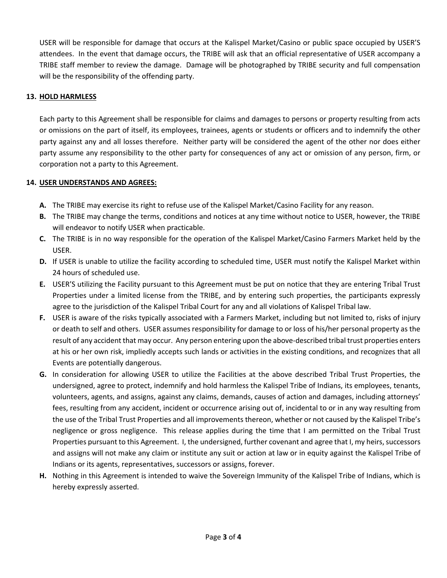USER will be responsible for damage that occurs at the Kalispel Market/Casino or public space occupied by USER'S attendees. In the event that damage occurs, the TRIBE will ask that an official representative of USER accompany a TRIBE staff member to review the damage. Damage will be photographed by TRIBE security and full compensation will be the responsibility of the offending party.

### **13. HOLD HARMLESS**

Each party to this Agreement shall be responsible for claims and damages to persons or property resulting from acts or omissions on the part of itself, its employees, trainees, agents or students or officers and to indemnify the other party against any and all losses therefore. Neither party will be considered the agent of the other nor does either party assume any responsibility to the other party for consequences of any act or omission of any person, firm, or corporation not a party to this Agreement.

### **14. USER UNDERSTANDS AND AGREES:**

- **A.** The TRIBE may exercise its right to refuse use of the Kalispel Market/Casino Facility for any reason.
- **B.** The TRIBE may change the terms, conditions and notices at any time without notice to USER, however, the TRIBE will endeavor to notify USER when practicable.
- **C.** The TRIBE is in no way responsible for the operation of the Kalispel Market/Casino Farmers Market held by the USER.
- **D.** If USER is unable to utilize the facility according to scheduled time, USER must notify the Kalispel Market within 24 hours of scheduled use.
- **E.** USER'S utilizing the Facility pursuant to this Agreement must be put on notice that they are entering Tribal Trust Properties under a limited license from the TRIBE, and by entering such properties, the participants expressly agree to the jurisdiction of the Kalispel Tribal Court for any and all violations of Kalispel Tribal law.
- **F.** USER is aware of the risks typically associated with a Farmers Market, including but not limited to, risks of injury or death to self and others. USER assumes responsibility for damage to or loss of his/her personal property as the result of any accident that may occur. Any person entering upon the above-described tribal trust properties enters at his or her own risk, impliedly accepts such lands or activities in the existing conditions, and recognizes that all Events are potentially dangerous.
- **G.** In consideration for allowing USER to utilize the Facilities at the above described Tribal Trust Properties, the undersigned, agree to protect, indemnify and hold harmless the Kalispel Tribe of Indians, its employees, tenants, volunteers, agents, and assigns, against any claims, demands, causes of action and damages, including attorneys' fees, resulting from any accident, incident or occurrence arising out of, incidental to or in any way resulting from the use of the Tribal Trust Properties and all improvements thereon, whether or not caused by the Kalispel Tribe's negligence or gross negligence. This release applies during the time that I am permitted on the Tribal Trust Properties pursuant to this Agreement. I, the undersigned, further covenant and agree that I, my heirs, successors and assigns will not make any claim or institute any suit or action at law or in equity against the Kalispel Tribe of Indians or its agents, representatives, successors or assigns, forever.
- **H.** Nothing in this Agreement is intended to waive the Sovereign Immunity of the Kalispel Tribe of Indians, which is hereby expressly asserted.